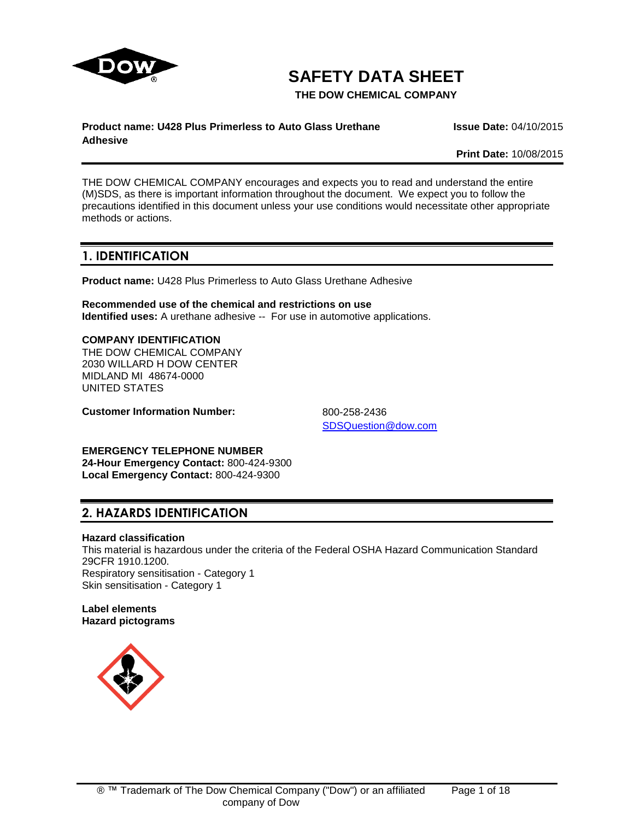

# **SAFETY DATA SHEET**

**THE DOW CHEMICAL COMPANY**

# **Product name: U428 Plus Primerless to Auto Glass Urethane**

**Issue Date:** 04/10/2015

**Adhesive**

**Print Date:** 10/08/2015

THE DOW CHEMICAL COMPANY encourages and expects you to read and understand the entire (M)SDS, as there is important information throughout the document. We expect you to follow the precautions identified in this document unless your use conditions would necessitate other appropriate methods or actions.

# **1. IDENTIFICATION**

**Product name:** U428 Plus Primerless to Auto Glass Urethane Adhesive

**Recommended use of the chemical and restrictions on use Identified uses:** A urethane adhesive -- For use in automotive applications.

## **COMPANY IDENTIFICATION**

THE DOW CHEMICAL COMPANY 2030 WILLARD H DOW CENTER MIDLAND MI 48674-0000 UNITED STATES

**Customer Information Number:** 800-258-2436

[SDSQuestion@dow.com](mailto:SDSQuestion@dow.com)

**EMERGENCY TELEPHONE NUMBER**

**24-Hour Emergency Contact:** 800-424-9300 **Local Emergency Contact:** 800-424-9300

# **2. HAZARDS IDENTIFICATION**

# **Hazard classification**

This material is hazardous under the criteria of the Federal OSHA Hazard Communication Standard 29CFR 1910.1200. Respiratory sensitisation - Category 1 Skin sensitisation - Category 1

**Label elements Hazard pictograms**

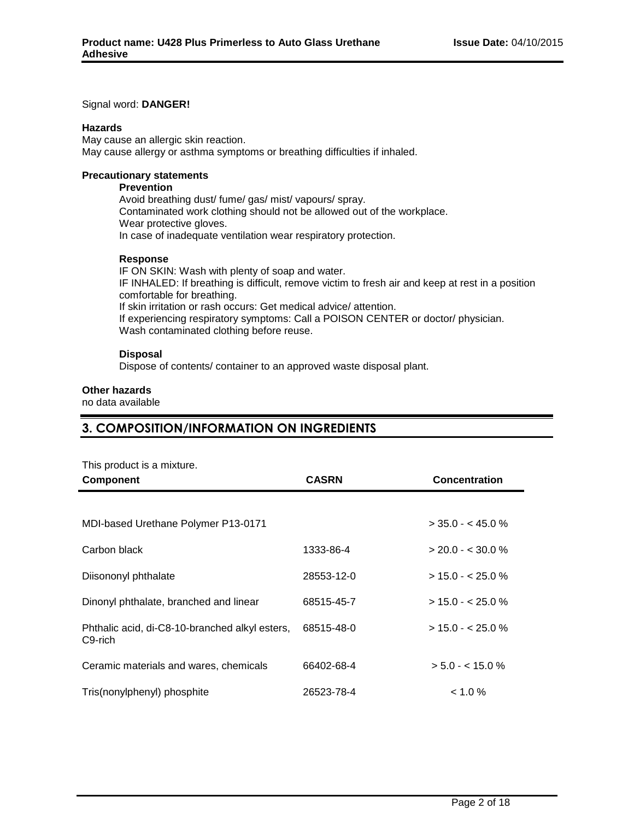#### Signal word: **DANGER!**

#### **Hazards**

May cause an allergic skin reaction. May cause allergy or asthma symptoms or breathing difficulties if inhaled.

#### **Precautionary statements**

# **Prevention**

Avoid breathing dust/ fume/ gas/ mist/ vapours/ spray. Contaminated work clothing should not be allowed out of the workplace. Wear protective gloves. In case of inadequate ventilation wear respiratory protection.

#### **Response**

IF ON SKIN: Wash with plenty of soap and water. IF INHALED: If breathing is difficult, remove victim to fresh air and keep at rest in a position comfortable for breathing. If skin irritation or rash occurs: Get medical advice/ attention. If experiencing respiratory symptoms: Call a POISON CENTER or doctor/ physician. Wash contaminated clothing before reuse.

#### **Disposal**

Dispose of contents/ container to an approved waste disposal plant.

#### **Other hazards**

no data available

# **3. COMPOSITION/INFORMATION ON INGREDIENTS**

| This product is a mixture. |  |  |  |  |
|----------------------------|--|--|--|--|
|----------------------------|--|--|--|--|

| <b>Component</b>                                                       | <b>CASRN</b> | <b>Concentration</b> |
|------------------------------------------------------------------------|--------------|----------------------|
|                                                                        |              |                      |
| MDI-based Urethane Polymer P13-0171                                    |              | $>$ 35.0 - < 45.0 %  |
| Carbon black                                                           | 1333-86-4    | $> 20.0 - 5.30.0 %$  |
| Diisononyl phthalate                                                   | 28553-12-0   | $> 15.0 - 25.0 %$    |
| Dinonyl phthalate, branched and linear                                 | 68515-45-7   | $> 15.0 - 25.0 %$    |
| Phthalic acid, di-C8-10-branched alkyl esters,<br>C <sub>9</sub> -rich | 68515-48-0   | $>$ 15.0 - < 25.0 %  |
| Ceramic materials and wares, chemicals                                 | 66402-68-4   | $> 5.0 - 5.0$ %      |
| Tris(nonylphenyl) phosphite                                            | 26523-78-4   | $< 1.0 \%$           |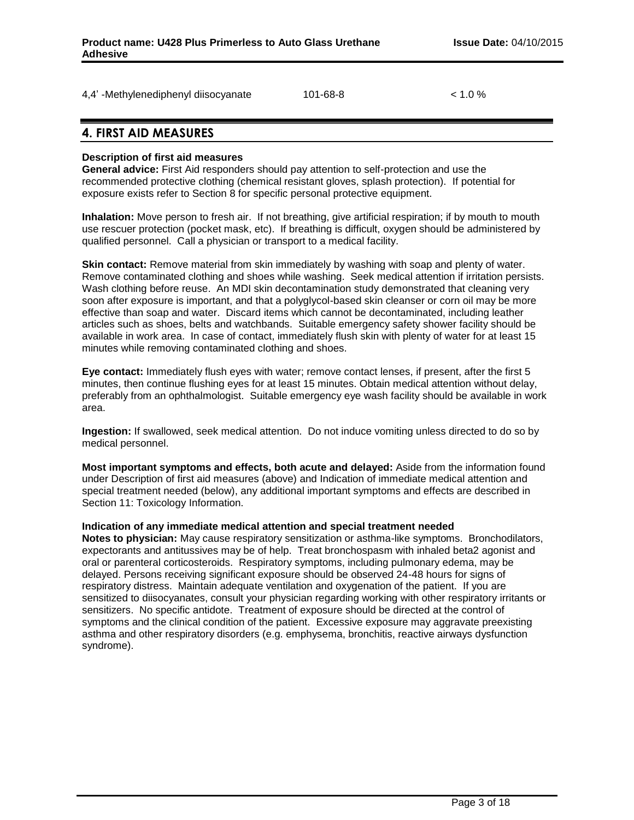| 4,4' -Methylenediphenyl diisocyanate | 101-68-8 | $1.0\%$ |
|--------------------------------------|----------|---------|
|--------------------------------------|----------|---------|

# **4. FIRST AID MEASURES**

## **Description of first aid measures**

**General advice:** First Aid responders should pay attention to self-protection and use the recommended protective clothing (chemical resistant gloves, splash protection). If potential for exposure exists refer to Section 8 for specific personal protective equipment.

**Inhalation:** Move person to fresh air. If not breathing, give artificial respiration; if by mouth to mouth use rescuer protection (pocket mask, etc). If breathing is difficult, oxygen should be administered by qualified personnel. Call a physician or transport to a medical facility.

**Skin contact:** Remove material from skin immediately by washing with soap and plenty of water. Remove contaminated clothing and shoes while washing. Seek medical attention if irritation persists. Wash clothing before reuse. An MDI skin decontamination study demonstrated that cleaning very soon after exposure is important, and that a polyglycol-based skin cleanser or corn oil may be more effective than soap and water. Discard items which cannot be decontaminated, including leather articles such as shoes, belts and watchbands. Suitable emergency safety shower facility should be available in work area. In case of contact, immediately flush skin with plenty of water for at least 15 minutes while removing contaminated clothing and shoes.

**Eye contact:** Immediately flush eyes with water; remove contact lenses, if present, after the first 5 minutes, then continue flushing eyes for at least 15 minutes. Obtain medical attention without delay, preferably from an ophthalmologist. Suitable emergency eye wash facility should be available in work area.

**Ingestion:** If swallowed, seek medical attention. Do not induce vomiting unless directed to do so by medical personnel.

**Most important symptoms and effects, both acute and delayed:** Aside from the information found under Description of first aid measures (above) and Indication of immediate medical attention and special treatment needed (below), any additional important symptoms and effects are described in Section 11: Toxicology Information.

#### **Indication of any immediate medical attention and special treatment needed**

**Notes to physician:** May cause respiratory sensitization or asthma-like symptoms. Bronchodilators, expectorants and antitussives may be of help. Treat bronchospasm with inhaled beta2 agonist and oral or parenteral corticosteroids. Respiratory symptoms, including pulmonary edema, may be delayed. Persons receiving significant exposure should be observed 24-48 hours for signs of respiratory distress. Maintain adequate ventilation and oxygenation of the patient. If you are sensitized to diisocyanates, consult your physician regarding working with other respiratory irritants or sensitizers. No specific antidote. Treatment of exposure should be directed at the control of symptoms and the clinical condition of the patient. Excessive exposure may aggravate preexisting asthma and other respiratory disorders (e.g. emphysema, bronchitis, reactive airways dysfunction syndrome).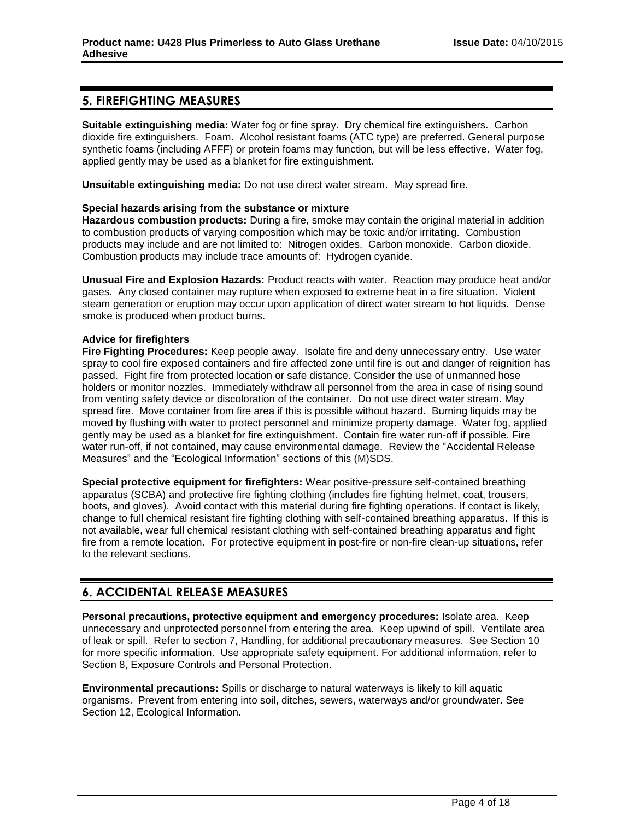# **5. FIREFIGHTING MEASURES**

**Suitable extinguishing media:** Water fog or fine spray. Dry chemical fire extinguishers. Carbon dioxide fire extinguishers. Foam. Alcohol resistant foams (ATC type) are preferred. General purpose synthetic foams (including AFFF) or protein foams may function, but will be less effective. Water fog, applied gently may be used as a blanket for fire extinguishment.

**Unsuitable extinguishing media:** Do not use direct water stream. May spread fire.

## **Special hazards arising from the substance or mixture**

**Hazardous combustion products:** During a fire, smoke may contain the original material in addition to combustion products of varying composition which may be toxic and/or irritating. Combustion products may include and are not limited to: Nitrogen oxides. Carbon monoxide. Carbon dioxide. Combustion products may include trace amounts of: Hydrogen cyanide.

**Unusual Fire and Explosion Hazards:** Product reacts with water. Reaction may produce heat and/or gases. Any closed container may rupture when exposed to extreme heat in a fire situation. Violent steam generation or eruption may occur upon application of direct water stream to hot liquids. Dense smoke is produced when product burns.

## **Advice for firefighters**

**Fire Fighting Procedures:** Keep people away. Isolate fire and deny unnecessary entry. Use water spray to cool fire exposed containers and fire affected zone until fire is out and danger of reignition has passed. Fight fire from protected location or safe distance. Consider the use of unmanned hose holders or monitor nozzles. Immediately withdraw all personnel from the area in case of rising sound from venting safety device or discoloration of the container. Do not use direct water stream. May spread fire. Move container from fire area if this is possible without hazard. Burning liquids may be moved by flushing with water to protect personnel and minimize property damage. Water fog, applied gently may be used as a blanket for fire extinguishment. Contain fire water run-off if possible. Fire water run-off, if not contained, may cause environmental damage. Review the "Accidental Release Measures" and the "Ecological Information" sections of this (M)SDS.

**Special protective equipment for firefighters:** Wear positive-pressure self-contained breathing apparatus (SCBA) and protective fire fighting clothing (includes fire fighting helmet, coat, trousers, boots, and gloves). Avoid contact with this material during fire fighting operations. If contact is likely, change to full chemical resistant fire fighting clothing with self-contained breathing apparatus. If this is not available, wear full chemical resistant clothing with self-contained breathing apparatus and fight fire from a remote location. For protective equipment in post-fire or non-fire clean-up situations, refer to the relevant sections.

# **6. ACCIDENTAL RELEASE MEASURES**

**Personal precautions, protective equipment and emergency procedures:** Isolate area. Keep unnecessary and unprotected personnel from entering the area. Keep upwind of spill. Ventilate area of leak or spill. Refer to section 7, Handling, for additional precautionary measures. See Section 10 for more specific information. Use appropriate safety equipment. For additional information, refer to Section 8, Exposure Controls and Personal Protection.

**Environmental precautions:** Spills or discharge to natural waterways is likely to kill aquatic organisms. Prevent from entering into soil, ditches, sewers, waterways and/or groundwater. See Section 12, Ecological Information.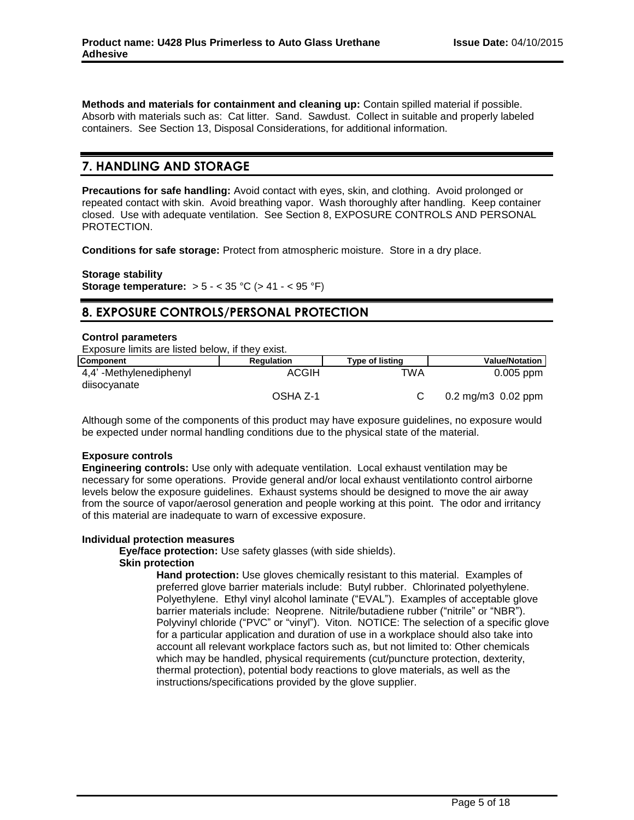**Methods and materials for containment and cleaning up:** Contain spilled material if possible. Absorb with materials such as: Cat litter. Sand. Sawdust. Collect in suitable and properly labeled containers. See Section 13, Disposal Considerations, for additional information.

# **7. HANDLING AND STORAGE**

**Precautions for safe handling:** Avoid contact with eyes, skin, and clothing. Avoid prolonged or repeated contact with skin. Avoid breathing vapor. Wash thoroughly after handling. Keep container closed. Use with adequate ventilation. See Section 8, EXPOSURE CONTROLS AND PERSONAL PROTECTION.

**Conditions for safe storage:** Protect from atmospheric moisture. Store in a dry place.

**Storage stability Storage temperature:** > 5 - < 35 °C (> 41 - < 95 °F)

# **8. EXPOSURE CONTROLS/PERSONAL PROTECTION**

#### **Control parameters**

Exposure limits are listed below, if they exist.

| <b>Component</b>                       | <b>Regulation</b> | <b>Type of listing</b> | <b>Value/Notation</b>          |
|----------------------------------------|-------------------|------------------------|--------------------------------|
| 4,4'-Methylenediphenyl<br>diisocyanate | ACGIH             | TWA                    | $0.005$ ppm                    |
|                                        | OSHA Z-1          |                        | $0.2 \,\mathrm{mg/m}$ 0.02 ppm |

Although some of the components of this product may have exposure guidelines, no exposure would be expected under normal handling conditions due to the physical state of the material.

#### **Exposure controls**

**Engineering controls:** Use only with adequate ventilation. Local exhaust ventilation may be necessary for some operations. Provide general and/or local exhaust ventilationto control airborne levels below the exposure guidelines. Exhaust systems should be designed to move the air away from the source of vapor/aerosol generation and people working at this point. The odor and irritancy of this material are inadequate to warn of excessive exposure.

#### **Individual protection measures**

**Eye/face protection:** Use safety glasses (with side shields).

#### **Skin protection**

**Hand protection:** Use gloves chemically resistant to this material. Examples of preferred glove barrier materials include: Butyl rubber. Chlorinated polyethylene. Polyethylene. Ethyl vinyl alcohol laminate ("EVAL"). Examples of acceptable glove barrier materials include: Neoprene. Nitrile/butadiene rubber ("nitrile" or "NBR"). Polyvinyl chloride ("PVC" or "vinyl"). Viton. NOTICE: The selection of a specific glove for a particular application and duration of use in a workplace should also take into account all relevant workplace factors such as, but not limited to: Other chemicals which may be handled, physical requirements (cut/puncture protection, dexterity, thermal protection), potential body reactions to glove materials, as well as the instructions/specifications provided by the glove supplier.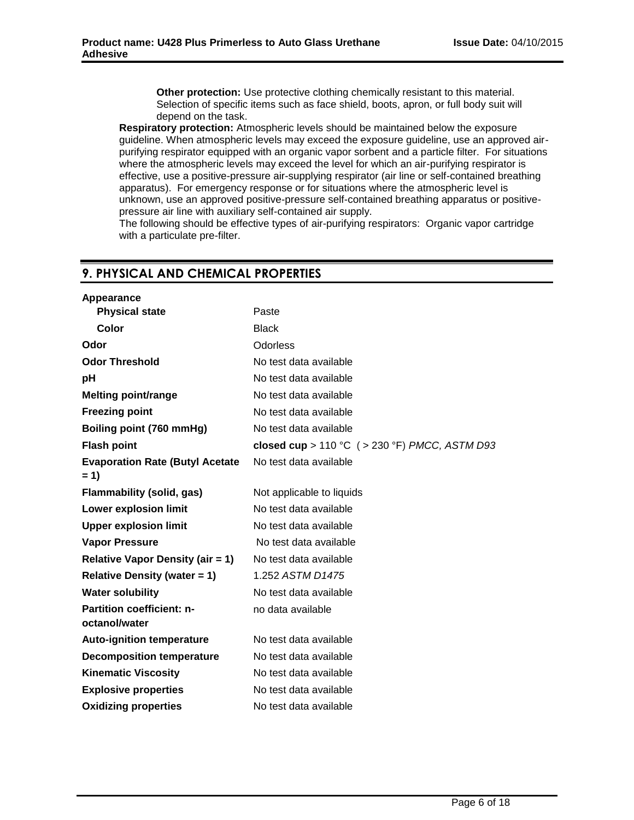**Other protection:** Use protective clothing chemically resistant to this material. Selection of specific items such as face shield, boots, apron, or full body suit will depend on the task.

**Respiratory protection:** Atmospheric levels should be maintained below the exposure guideline. When atmospheric levels may exceed the exposure guideline, use an approved airpurifying respirator equipped with an organic vapor sorbent and a particle filter. For situations where the atmospheric levels may exceed the level for which an air-purifying respirator is effective, use a positive-pressure air-supplying respirator (air line or self-contained breathing apparatus). For emergency response or for situations where the atmospheric level is unknown, use an approved positive-pressure self-contained breathing apparatus or positivepressure air line with auxiliary self-contained air supply.

The following should be effective types of air-purifying respirators: Organic vapor cartridge with a particulate pre-filter.

# **9. PHYSICAL AND CHEMICAL PROPERTIES**

| Appearance                                        |                                                |
|---------------------------------------------------|------------------------------------------------|
| <b>Physical state</b>                             | Paste                                          |
| Color                                             | <b>Black</b>                                   |
| Odor                                              | <b>Odorless</b>                                |
| <b>Odor Threshold</b>                             | No test data available                         |
| рH                                                | No test data available                         |
| <b>Melting point/range</b>                        | No test data available                         |
| <b>Freezing point</b>                             | No test data available                         |
| Boiling point (760 mmHg)                          | No test data available                         |
| <b>Flash point</b>                                | closed cup > 110 °C ( > 230 °F) PMCC, ASTM D93 |
| <b>Evaporation Rate (Butyl Acetate</b><br>$= 1$   | No test data available                         |
| <b>Flammability (solid, gas)</b>                  | Not applicable to liquids                      |
| <b>Lower explosion limit</b>                      | No test data available                         |
| <b>Upper explosion limit</b>                      | No test data available                         |
| <b>Vapor Pressure</b>                             | No test data available                         |
| <b>Relative Vapor Density (air = 1)</b>           | No test data available                         |
| <b>Relative Density (water = 1)</b>               | 1.252 ASTM D1475                               |
| <b>Water solubility</b>                           | No test data available                         |
| <b>Partition coefficient: n-</b><br>octanol/water | no data available                              |
| <b>Auto-ignition temperature</b>                  | No test data available                         |
| <b>Decomposition temperature</b>                  | No test data available                         |
| <b>Kinematic Viscosity</b>                        | No test data available                         |
| <b>Explosive properties</b>                       | No test data available                         |
| <b>Oxidizing properties</b>                       | No test data available                         |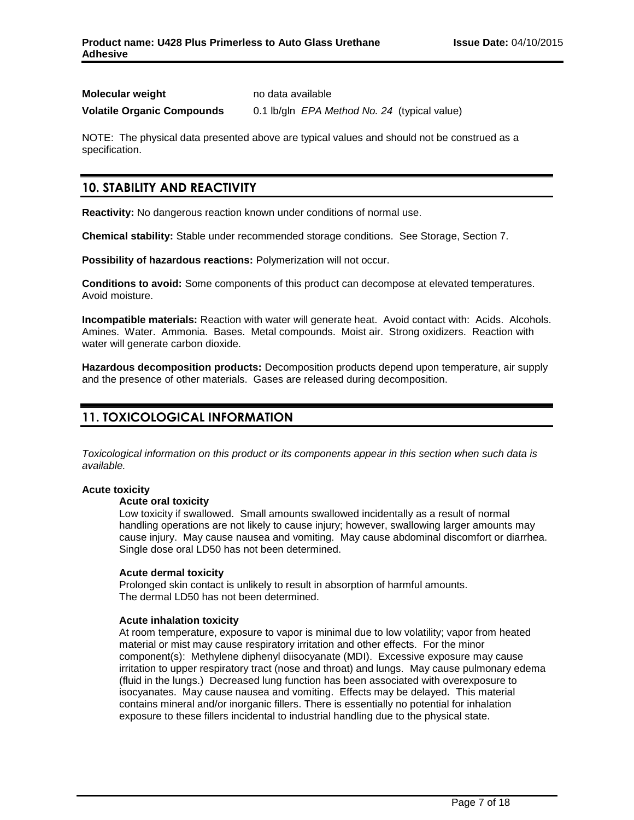| <b>Molecular weight</b>           | no data available                            |
|-----------------------------------|----------------------------------------------|
| <b>Volatile Organic Compounds</b> | 0.1 lb/gln EPA Method No. 24 (typical value) |

NOTE: The physical data presented above are typical values and should not be construed as a specification.

# **10. STABILITY AND REACTIVITY**

**Reactivity:** No dangerous reaction known under conditions of normal use.

**Chemical stability:** Stable under recommended storage conditions. See Storage, Section 7.

**Possibility of hazardous reactions:** Polymerization will not occur.

**Conditions to avoid:** Some components of this product can decompose at elevated temperatures. Avoid moisture.

**Incompatible materials:** Reaction with water will generate heat. Avoid contact with: Acids. Alcohols. Amines. Water. Ammonia. Bases. Metal compounds. Moist air. Strong oxidizers. Reaction with water will generate carbon dioxide.

**Hazardous decomposition products:** Decomposition products depend upon temperature, air supply and the presence of other materials. Gases are released during decomposition.

# **11. TOXICOLOGICAL INFORMATION**

*Toxicological information on this product or its components appear in this section when such data is available.*

# **Acute toxicity**

#### **Acute oral toxicity**

Low toxicity if swallowed. Small amounts swallowed incidentally as a result of normal handling operations are not likely to cause injury; however, swallowing larger amounts may cause injury. May cause nausea and vomiting. May cause abdominal discomfort or diarrhea. Single dose oral LD50 has not been determined.

#### **Acute dermal toxicity**

Prolonged skin contact is unlikely to result in absorption of harmful amounts. The dermal LD50 has not been determined.

#### **Acute inhalation toxicity**

At room temperature, exposure to vapor is minimal due to low volatility; vapor from heated material or mist may cause respiratory irritation and other effects. For the minor component(s): Methylene diphenyl diisocyanate (MDI). Excessive exposure may cause irritation to upper respiratory tract (nose and throat) and lungs. May cause pulmonary edema (fluid in the lungs.) Decreased lung function has been associated with overexposure to isocyanates. May cause nausea and vomiting. Effects may be delayed. This material contains mineral and/or inorganic fillers. There is essentially no potential for inhalation exposure to these fillers incidental to industrial handling due to the physical state.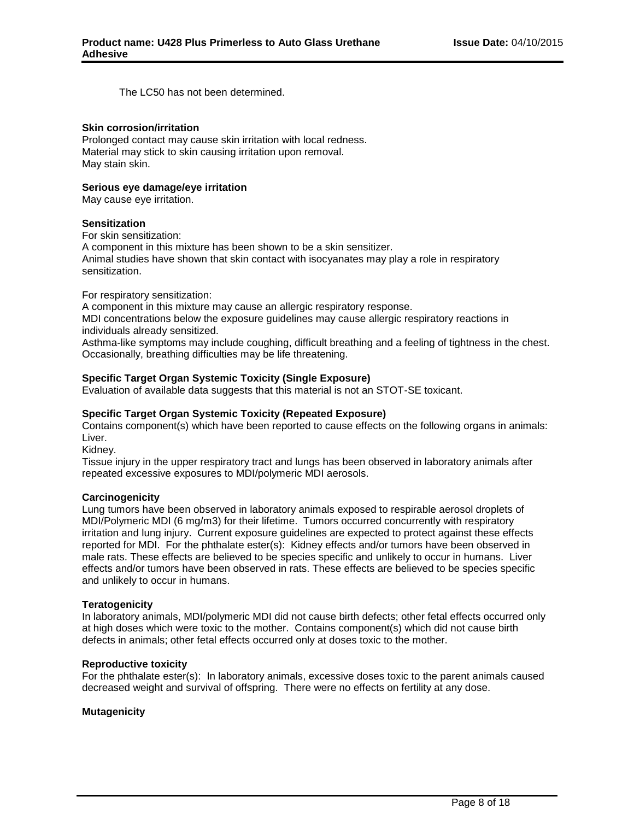The LC50 has not been determined.

#### **Skin corrosion/irritation**

Prolonged contact may cause skin irritation with local redness. Material may stick to skin causing irritation upon removal. May stain skin.

#### **Serious eye damage/eye irritation**

May cause eye irritation.

#### **Sensitization**

For skin sensitization:

A component in this mixture has been shown to be a skin sensitizer. Animal studies have shown that skin contact with isocyanates may play a role in respiratory sensitization.

For respiratory sensitization:

A component in this mixture may cause an allergic respiratory response.

MDI concentrations below the exposure guidelines may cause allergic respiratory reactions in individuals already sensitized.

Asthma-like symptoms may include coughing, difficult breathing and a feeling of tightness in the chest. Occasionally, breathing difficulties may be life threatening.

#### **Specific Target Organ Systemic Toxicity (Single Exposure)**

Evaluation of available data suggests that this material is not an STOT-SE toxicant.

#### **Specific Target Organ Systemic Toxicity (Repeated Exposure)**

Contains component(s) which have been reported to cause effects on the following organs in animals: Liver.

Kidney.

Tissue injury in the upper respiratory tract and lungs has been observed in laboratory animals after repeated excessive exposures to MDI/polymeric MDI aerosols.

#### **Carcinogenicity**

Lung tumors have been observed in laboratory animals exposed to respirable aerosol droplets of MDI/Polymeric MDI (6 mg/m3) for their lifetime. Tumors occurred concurrently with respiratory irritation and lung injury. Current exposure guidelines are expected to protect against these effects reported for MDI. For the phthalate ester(s): Kidney effects and/or tumors have been observed in male rats. These effects are believed to be species specific and unlikely to occur in humans. Liver effects and/or tumors have been observed in rats. These effects are believed to be species specific and unlikely to occur in humans.

#### **Teratogenicity**

In laboratory animals, MDI/polymeric MDI did not cause birth defects; other fetal effects occurred only at high doses which were toxic to the mother. Contains component(s) which did not cause birth defects in animals; other fetal effects occurred only at doses toxic to the mother.

#### **Reproductive toxicity**

For the phthalate ester(s): In laboratory animals, excessive doses toxic to the parent animals caused decreased weight and survival of offspring. There were no effects on fertility at any dose.

#### **Mutagenicity**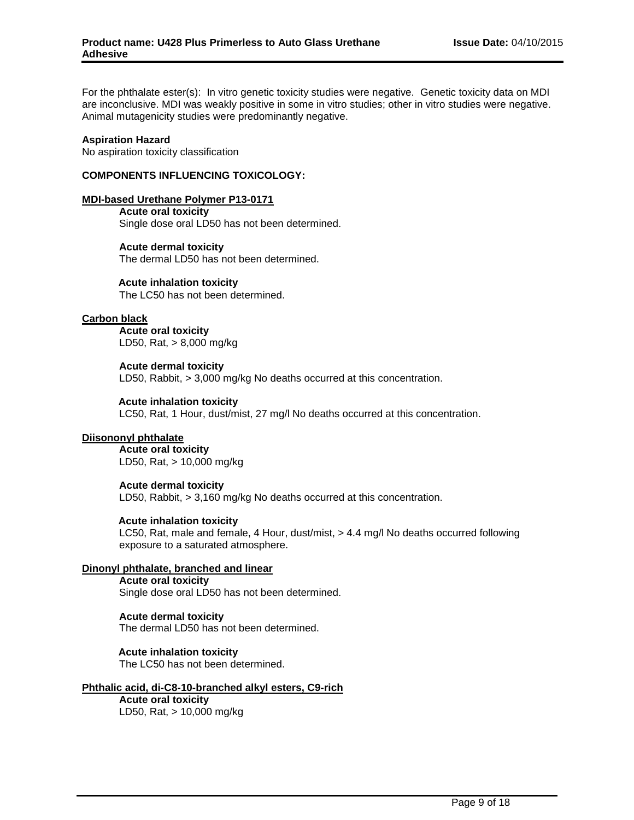For the phthalate ester(s): In vitro genetic toxicity studies were negative. Genetic toxicity data on MDI are inconclusive. MDI was weakly positive in some in vitro studies; other in vitro studies were negative. Animal mutagenicity studies were predominantly negative.

#### **Aspiration Hazard**

No aspiration toxicity classification

### **COMPONENTS INFLUENCING TOXICOLOGY:**

#### **MDI-based Urethane Polymer P13-0171**

**Acute oral toxicity** Single dose oral LD50 has not been determined.

**Acute dermal toxicity** The dermal LD50 has not been determined.

#### **Acute inhalation toxicity**

The LC50 has not been determined.

### **Carbon black**

**Acute oral toxicity** LD50, Rat, > 8,000 mg/kg

**Acute dermal toxicity** LD50, Rabbit, > 3,000 mg/kg No deaths occurred at this concentration.

#### **Acute inhalation toxicity**

LC50, Rat, 1 Hour, dust/mist, 27 mg/l No deaths occurred at this concentration.

#### **Diisononyl phthalate**

**Acute oral toxicity** LD50, Rat, > 10,000 mg/kg

#### **Acute dermal toxicity**

LD50, Rabbit, > 3,160 mg/kg No deaths occurred at this concentration.

#### **Acute inhalation toxicity**

LC50, Rat, male and female, 4 Hour, dust/mist, > 4.4 mg/l No deaths occurred following exposure to a saturated atmosphere.

# **Dinonyl phthalate, branched and linear**

# **Acute oral toxicity**

Single dose oral LD50 has not been determined.

### **Acute dermal toxicity**

The dermal LD50 has not been determined.

#### **Acute inhalation toxicity**

The LC50 has not been determined.

# **Phthalic acid, di-C8-10-branched alkyl esters, C9-rich**

# **Acute oral toxicity**

LD50, Rat, > 10,000 mg/kg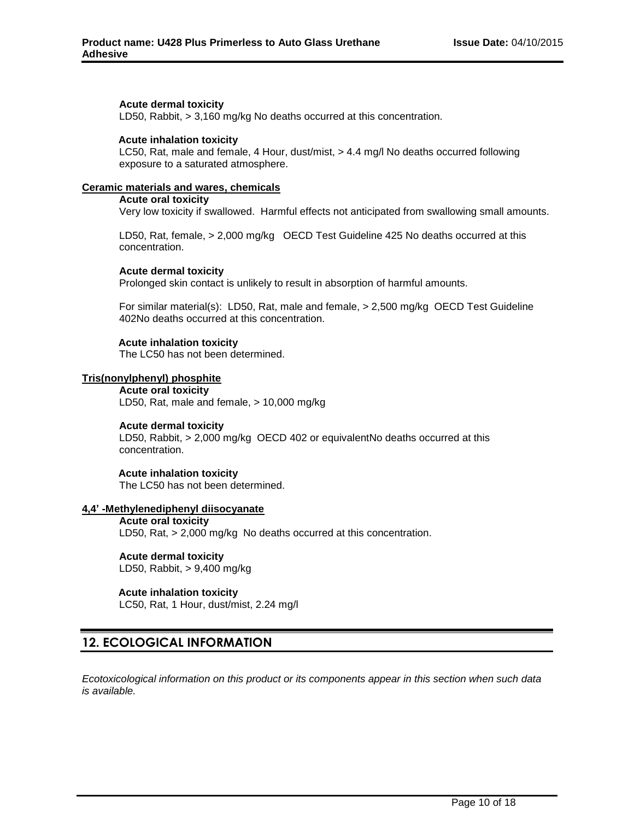### **Acute dermal toxicity**

LD50, Rabbit, > 3,160 mg/kg No deaths occurred at this concentration.

### **Acute inhalation toxicity**

LC50, Rat, male and female, 4 Hour, dust/mist, > 4.4 mg/l No deaths occurred following exposure to a saturated atmosphere.

### **Ceramic materials and wares, chemicals**

## **Acute oral toxicity**

Very low toxicity if swallowed. Harmful effects not anticipated from swallowing small amounts.

LD50, Rat, female, > 2,000 mg/kg OECD Test Guideline 425 No deaths occurred at this concentration.

#### **Acute dermal toxicity**

Prolonged skin contact is unlikely to result in absorption of harmful amounts.

For similar material(s): LD50, Rat, male and female, > 2,500 mg/kg OECD Test Guideline 402No deaths occurred at this concentration.

## **Acute inhalation toxicity**

The LC50 has not been determined.

## **Tris(nonylphenyl) phosphite**

**Acute oral toxicity** LD50, Rat, male and female, > 10,000 mg/kg

#### **Acute dermal toxicity**

LD50, Rabbit, > 2,000 mg/kg OECD 402 or equivalentNo deaths occurred at this concentration.

#### **Acute inhalation toxicity**

The LC50 has not been determined.

## **4,4' -Methylenediphenyl diisocyanate**

**Acute oral toxicity** LD50, Rat, > 2,000 mg/kg No deaths occurred at this concentration.

# **Acute dermal toxicity**

LD50, Rabbit, > 9,400 mg/kg

#### **Acute inhalation toxicity**

LC50, Rat, 1 Hour, dust/mist, 2.24 mg/l

# **12. ECOLOGICAL INFORMATION**

*Ecotoxicological information on this product or its components appear in this section when such data is available.*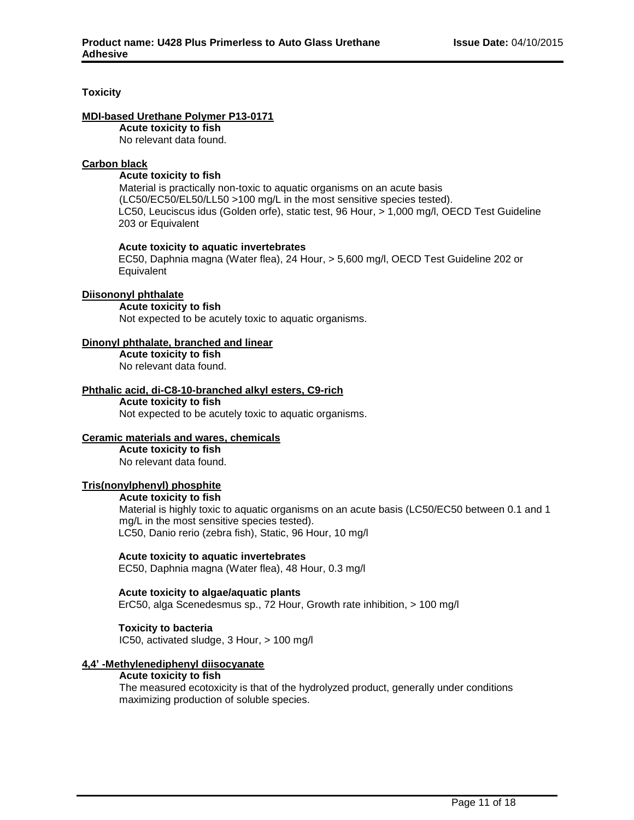## **Toxicity**

### **MDI-based Urethane Polymer P13-0171**

**Acute toxicity to fish** No relevant data found.

### **Carbon black**

### **Acute toxicity to fish**

Material is practically non-toxic to aquatic organisms on an acute basis (LC50/EC50/EL50/LL50 >100 mg/L in the most sensitive species tested). LC50, Leuciscus idus (Golden orfe), static test, 96 Hour, > 1,000 mg/l, OECD Test Guideline 203 or Equivalent

#### **Acute toxicity to aquatic invertebrates**

EC50, Daphnia magna (Water flea), 24 Hour, > 5,600 mg/l, OECD Test Guideline 202 or **Equivalent** 

#### **Diisononyl phthalate**

#### **Acute toxicity to fish**

Not expected to be acutely toxic to aquatic organisms.

## **Dinonyl phthalate, branched and linear**

**Acute toxicity to fish** No relevant data found.

#### **Phthalic acid, di-C8-10-branched alkyl esters, C9-rich Acute toxicity to fish**

Not expected to be acutely toxic to aquatic organisms.

#### **Ceramic materials and wares, chemicals**

**Acute toxicity to fish** No relevant data found.

#### **Tris(nonylphenyl) phosphite**

#### **Acute toxicity to fish**

Material is highly toxic to aquatic organisms on an acute basis (LC50/EC50 between 0.1 and 1 mg/L in the most sensitive species tested). LC50, Danio rerio (zebra fish), Static, 96 Hour, 10 mg/l

#### **Acute toxicity to aquatic invertebrates**

EC50, Daphnia magna (Water flea), 48 Hour, 0.3 mg/l

#### **Acute toxicity to algae/aquatic plants**

ErC50, alga Scenedesmus sp., 72 Hour, Growth rate inhibition, > 100 mg/l

#### **Toxicity to bacteria**

IC50, activated sludge, 3 Hour, > 100 mg/l

#### **4,4' -Methylenediphenyl diisocyanate**

#### **Acute toxicity to fish**

The measured ecotoxicity is that of the hydrolyzed product, generally under conditions maximizing production of soluble species.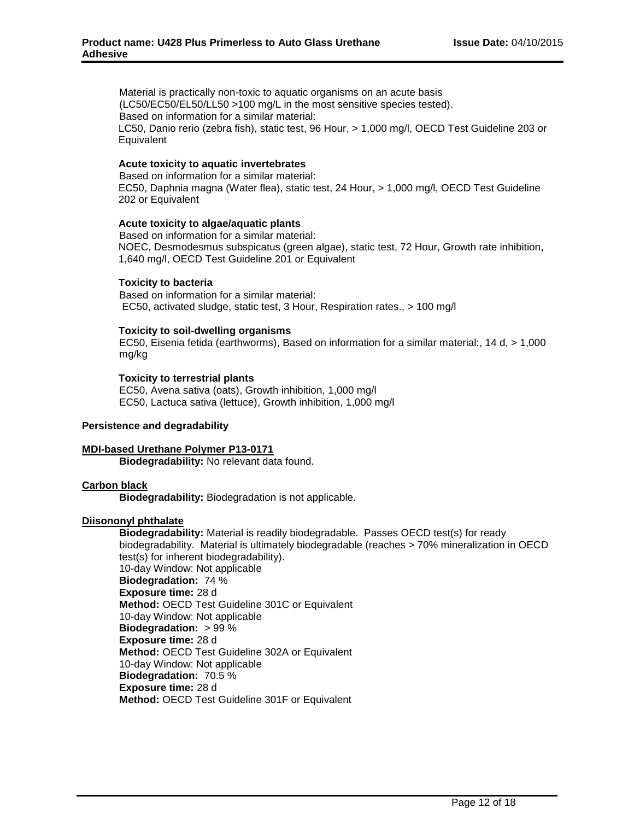Material is practically non-toxic to aquatic organisms on an acute basis (LC50/EC50/EL50/LL50 >100 mg/L in the most sensitive species tested). Based on information for a similar material: LC50, Danio rerio (zebra fish), static test, 96 Hour, > 1,000 mg/l, OECD Test Guideline 203 or **Equivalent** 

#### **Acute toxicity to aquatic invertebrates**

Based on information for a similar material: EC50, Daphnia magna (Water flea), static test, 24 Hour, > 1,000 mg/l, OECD Test Guideline 202 or Equivalent

#### **Acute toxicity to algae/aquatic plants**

Based on information for a similar material: NOEC, Desmodesmus subspicatus (green algae), static test, 72 Hour, Growth rate inhibition, 1,640 mg/l, OECD Test Guideline 201 or Equivalent

#### **Toxicity to bacteria**

Based on information for a similar material: EC50, activated sludge, static test, 3 Hour, Respiration rates., > 100 mg/l

#### **Toxicity to soil-dwelling organisms**

EC50, Eisenia fetida (earthworms), Based on information for a similar material:, 14 d, > 1,000 mg/kg

#### **Toxicity to terrestrial plants**

EC50, Avena sativa (oats), Growth inhibition, 1,000 mg/l EC50, Lactuca sativa (lettuce), Growth inhibition, 1,000 mg/l

#### **Persistence and degradability**

#### **MDI-based Urethane Polymer P13-0171**

**Biodegradability:** No relevant data found.

#### **Carbon black**

**Biodegradability:** Biodegradation is not applicable.

#### **Diisononyl phthalate**

**Biodegradability:** Material is readily biodegradable. Passes OECD test(s) for ready biodegradability. Material is ultimately biodegradable (reaches > 70% mineralization in OECD test(s) for inherent biodegradability). 10-day Window: Not applicable **Biodegradation:** 74 % **Exposure time:** 28 d **Method:** OECD Test Guideline 301C or Equivalent 10-day Window: Not applicable **Biodegradation:** > 99 % **Exposure time:** 28 d **Method:** OECD Test Guideline 302A or Equivalent 10-day Window: Not applicable **Biodegradation:** 70.5 % **Exposure time:** 28 d **Method:** OECD Test Guideline 301F or Equivalent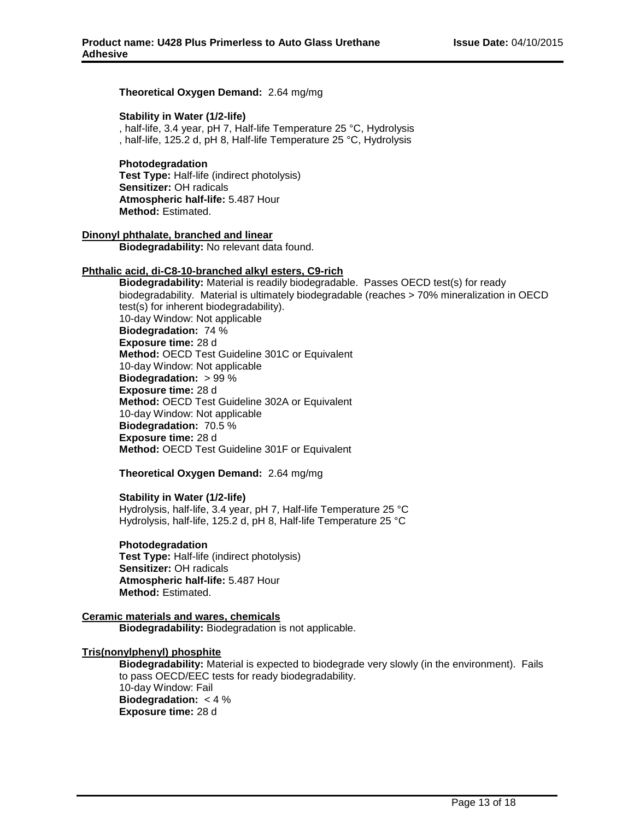#### **Theoretical Oxygen Demand:** 2.64 mg/mg

#### **Stability in Water (1/2-life)**

, half-life, 3.4 year, pH 7, Half-life Temperature 25 °C, Hydrolysis , half-life, 125.2 d, pH 8, Half-life Temperature 25 °C, Hydrolysis

#### **Photodegradation Test Type:** Half-life (indirect photolysis) **Sensitizer:** OH radicals

**Atmospheric half-life:** 5.487 Hour **Method:** Estimated.

### **Dinonyl phthalate, branched and linear**

**Biodegradability:** No relevant data found.

#### **Phthalic acid, di-C8-10-branched alkyl esters, C9-rich**

**Biodegradability:** Material is readily biodegradable. Passes OECD test(s) for ready biodegradability. Material is ultimately biodegradable (reaches > 70% mineralization in OECD test(s) for inherent biodegradability). 10-day Window: Not applicable **Biodegradation:** 74 % **Exposure time:** 28 d **Method:** OECD Test Guideline 301C or Equivalent 10-day Window: Not applicable **Biodegradation:** > 99 % **Exposure time:** 28 d **Method:** OECD Test Guideline 302A or Equivalent 10-day Window: Not applicable **Biodegradation:** 70.5 % **Exposure time:** 28 d **Method:** OECD Test Guideline 301F or Equivalent

#### **Theoretical Oxygen Demand:** 2.64 mg/mg

#### **Stability in Water (1/2-life)**

Hydrolysis, half-life, 3.4 year, pH 7, Half-life Temperature 25 °C Hydrolysis, half-life, 125.2 d, pH 8, Half-life Temperature 25 °C

#### **Photodegradation**

**Test Type:** Half-life (indirect photolysis) **Sensitizer:** OH radicals **Atmospheric half-life:** 5.487 Hour **Method:** Estimated.

#### **Ceramic materials and wares, chemicals Biodegradability:** Biodegradation is not applicable.

#### **Tris(nonylphenyl) phosphite**

**Biodegradability:** Material is expected to biodegrade very slowly (in the environment). Fails to pass OECD/EEC tests for ready biodegradability. 10-day Window: Fail **Biodegradation:** < 4 % **Exposure time:** 28 d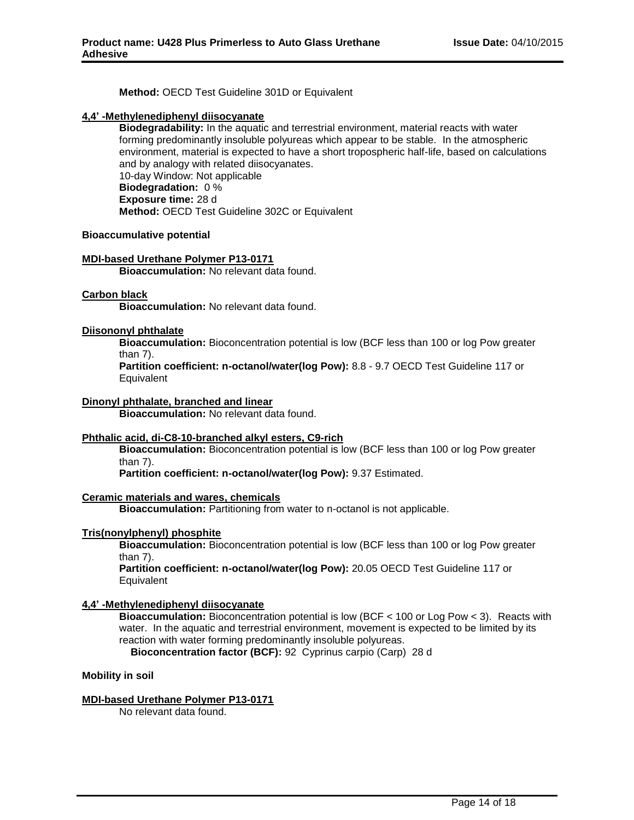**Method:** OECD Test Guideline 301D or Equivalent

## **4,4' -Methylenediphenyl diisocyanate**

**Biodegradability:** In the aquatic and terrestrial environment, material reacts with water forming predominantly insoluble polyureas which appear to be stable. In the atmospheric environment, material is expected to have a short tropospheric half-life, based on calculations and by analogy with related diisocyanates. 10-day Window: Not applicable **Biodegradation:** 0 % **Exposure time:** 28 d **Method:** OECD Test Guideline 302C or Equivalent

#### **Bioaccumulative potential**

## **MDI-based Urethane Polymer P13-0171**

**Bioaccumulation:** No relevant data found.

#### **Carbon black**

**Bioaccumulation:** No relevant data found.

#### **Diisononyl phthalate**

**Bioaccumulation:** Bioconcentration potential is low (BCF less than 100 or log Pow greater than 7).

**Partition coefficient: n-octanol/water(log Pow):** 8.8 - 9.7 OECD Test Guideline 117 or **Equivalent** 

#### **Dinonyl phthalate, branched and linear**

**Bioaccumulation:** No relevant data found.

#### **Phthalic acid, di-C8-10-branched alkyl esters, C9-rich**

**Bioaccumulation:** Bioconcentration potential is low (BCF less than 100 or log Pow greater than 7).

**Partition coefficient: n-octanol/water(log Pow):** 9.37 Estimated.

#### **Ceramic materials and wares, chemicals**

**Bioaccumulation:** Partitioning from water to n-octanol is not applicable.

#### **Tris(nonylphenyl) phosphite**

**Bioaccumulation:** Bioconcentration potential is low (BCF less than 100 or log Pow greater than 7).

**Partition coefficient: n-octanol/water(log Pow):** 20.05 OECD Test Guideline 117 or Equivalent

#### **4,4' -Methylenediphenyl diisocyanate**

**Bioaccumulation:** Bioconcentration potential is low (BCF < 100 or Log Pow < 3). Reacts with water. In the aquatic and terrestrial environment, movement is expected to be limited by its reaction with water forming predominantly insoluble polyureas.

**Bioconcentration factor (BCF):** 92 Cyprinus carpio (Carp) 28 d

**Mobility in soil**

#### **MDI-based Urethane Polymer P13-0171**

No relevant data found.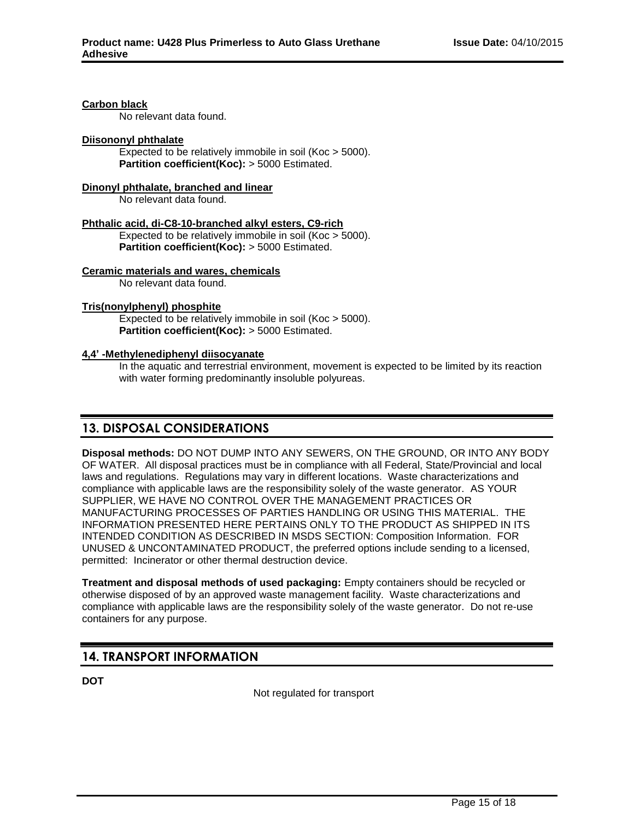#### **Carbon black**

No relevant data found.

### **Diisononyl phthalate**

Expected to be relatively immobile in soil (Koc > 5000). **Partition coefficient(Koc):** > 5000 Estimated.

### **Dinonyl phthalate, branched and linear**

No relevant data found.

#### **Phthalic acid, di-C8-10-branched alkyl esters, C9-rich**

Expected to be relatively immobile in soil (Koc > 5000). **Partition coefficient(Koc):** > 5000 Estimated.

# **Ceramic materials and wares, chemicals**

No relevant data found.

#### **Tris(nonylphenyl) phosphite**

Expected to be relatively immobile in soil (Koc > 5000). **Partition coefficient(Koc):** > 5000 Estimated.

## **4,4' -Methylenediphenyl diisocyanate**

In the aquatic and terrestrial environment, movement is expected to be limited by its reaction with water forming predominantly insoluble polyureas.

# **13. DISPOSAL CONSIDERATIONS**

**Disposal methods:** DO NOT DUMP INTO ANY SEWERS, ON THE GROUND, OR INTO ANY BODY OF WATER. All disposal practices must be in compliance with all Federal, State/Provincial and local laws and regulations. Regulations may vary in different locations. Waste characterizations and compliance with applicable laws are the responsibility solely of the waste generator. AS YOUR SUPPLIER, WE HAVE NO CONTROL OVER THE MANAGEMENT PRACTICES OR MANUFACTURING PROCESSES OF PARTIES HANDLING OR USING THIS MATERIAL. THE INFORMATION PRESENTED HERE PERTAINS ONLY TO THE PRODUCT AS SHIPPED IN ITS INTENDED CONDITION AS DESCRIBED IN MSDS SECTION: Composition Information. FOR UNUSED & UNCONTAMINATED PRODUCT, the preferred options include sending to a licensed, permitted: Incinerator or other thermal destruction device.

**Treatment and disposal methods of used packaging:** Empty containers should be recycled or otherwise disposed of by an approved waste management facility. Waste characterizations and compliance with applicable laws are the responsibility solely of the waste generator. Do not re-use containers for any purpose.

# **14. TRANSPORT INFORMATION**

**DOT**

Not regulated for transport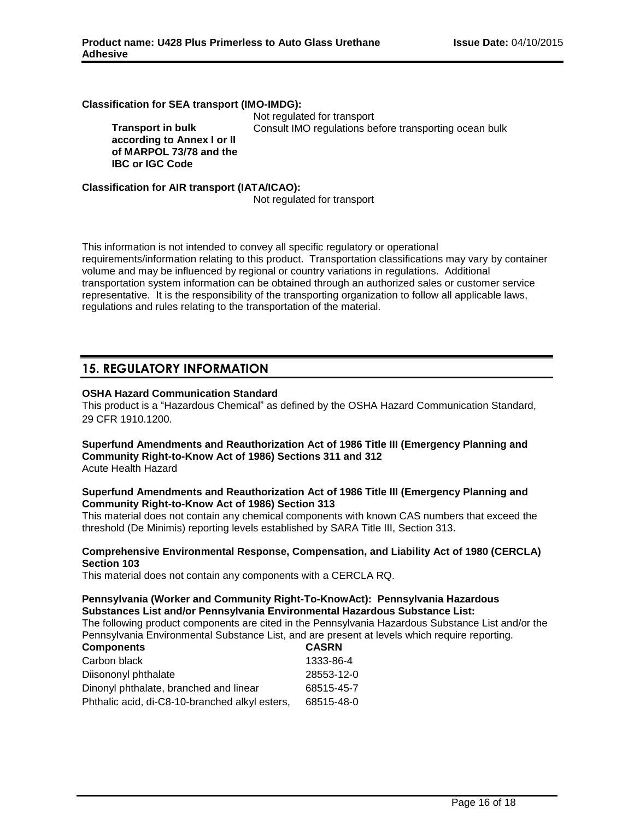#### **Classification for SEA transport (IMO-IMDG):**

**Transport in bulk according to Annex I or II of MARPOL 73/78 and the IBC or IGC Code**

Not regulated for transport Consult IMO regulations before transporting ocean bulk

### **Classification for AIR transport (IATA/ICAO):**

Not regulated for transport

This information is not intended to convey all specific regulatory or operational requirements/information relating to this product. Transportation classifications may vary by container volume and may be influenced by regional or country variations in regulations. Additional transportation system information can be obtained through an authorized sales or customer service representative. It is the responsibility of the transporting organization to follow all applicable laws, regulations and rules relating to the transportation of the material.

# **15. REGULATORY INFORMATION**

## **OSHA Hazard Communication Standard**

This product is a "Hazardous Chemical" as defined by the OSHA Hazard Communication Standard, 29 CFR 1910.1200.

#### **Superfund Amendments and Reauthorization Act of 1986 Title III (Emergency Planning and Community Right-to-Know Act of 1986) Sections 311 and 312** Acute Health Hazard

# **Superfund Amendments and Reauthorization Act of 1986 Title III (Emergency Planning and Community Right-to-Know Act of 1986) Section 313**

This material does not contain any chemical components with known CAS numbers that exceed the threshold (De Minimis) reporting levels established by SARA Title III, Section 313.

#### **Comprehensive Environmental Response, Compensation, and Liability Act of 1980 (CERCLA) Section 103**

This material does not contain any components with a CERCLA RQ.

# **Pennsylvania (Worker and Community Right-To-KnowAct): Pennsylvania Hazardous Substances List and/or Pennsylvania Environmental Hazardous Substance List:**

The following product components are cited in the Pennsylvania Hazardous Substance List and/or the Pennsylvania Environmental Substance List, and are present at levels which require reporting.

| <b>Components</b>                              | <b>CASRN</b> |
|------------------------------------------------|--------------|
| Carbon black                                   | 1333-86-4    |
| Diisononyl phthalate                           | 28553-12-0   |
| Dinonyl phthalate, branched and linear         | 68515-45-7   |
| Phthalic acid, di-C8-10-branched alkyl esters, | 68515-48-0   |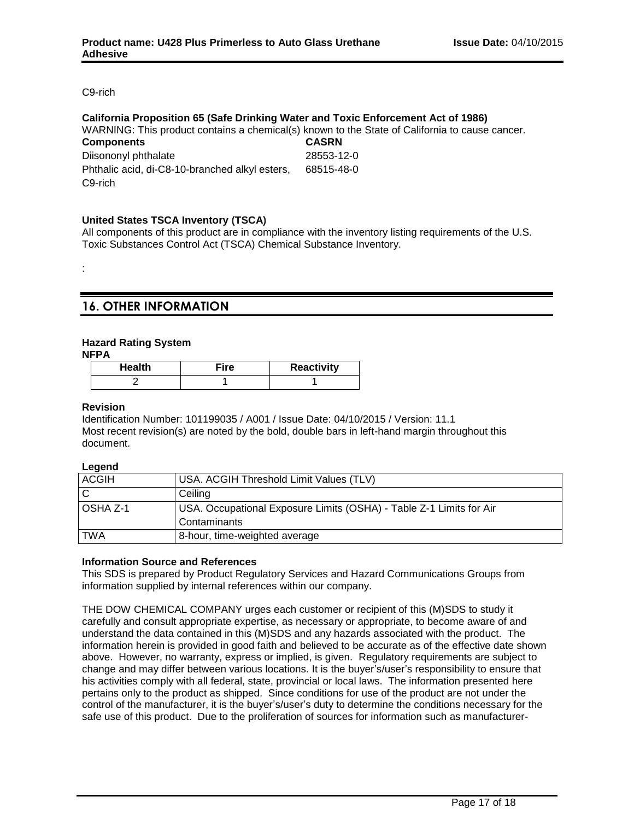C9-rich

#### **California Proposition 65 (Safe Drinking Water and Toxic Enforcement Act of 1986)**

WARNING: This product contains a chemical(s) known to the State of California to cause cancer.

| <b>Components</b>                              | <b>CASRN</b> |
|------------------------------------------------|--------------|
| Diisononyl phthalate                           | 28553-12-0   |
| Phthalic acid, di-C8-10-branched alkyl esters, | 68515-48-0   |
| C9-rich                                        |              |

## **United States TSCA Inventory (TSCA)**

All components of this product are in compliance with the inventory listing requirements of the U.S. Toxic Substances Control Act (TSCA) Chemical Substance Inventory.

# **16. OTHER INFORMATION**

## **Hazard Rating System**

**NFPA**

:

| <b>Health</b> | ≂ire | Reactivity |
|---------------|------|------------|
|               |      |            |

#### **Revision**

Identification Number: 101199035 / A001 / Issue Date: 04/10/2015 / Version: 11.1 Most recent revision(s) are noted by the bold, double bars in left-hand margin throughout this document.

#### **Legend**

| <b>ACGIH</b> | USA. ACGIH Threshold Limit Values (TLV)                             |
|--------------|---------------------------------------------------------------------|
| C            | Ceiling                                                             |
| l OSHA Z-1   | USA. Occupational Exposure Limits (OSHA) - Table Z-1 Limits for Air |
|              | Contaminants                                                        |
| <b>TWA</b>   | 8-hour, time-weighted average                                       |

#### **Information Source and References**

This SDS is prepared by Product Regulatory Services and Hazard Communications Groups from information supplied by internal references within our company.

THE DOW CHEMICAL COMPANY urges each customer or recipient of this (M)SDS to study it carefully and consult appropriate expertise, as necessary or appropriate, to become aware of and understand the data contained in this (M)SDS and any hazards associated with the product. The information herein is provided in good faith and believed to be accurate as of the effective date shown above. However, no warranty, express or implied, is given. Regulatory requirements are subject to change and may differ between various locations. It is the buyer's/user's responsibility to ensure that his activities comply with all federal, state, provincial or local laws. The information presented here pertains only to the product as shipped. Since conditions for use of the product are not under the control of the manufacturer, it is the buyer's/user's duty to determine the conditions necessary for the safe use of this product. Due to the proliferation of sources for information such as manufacturer-